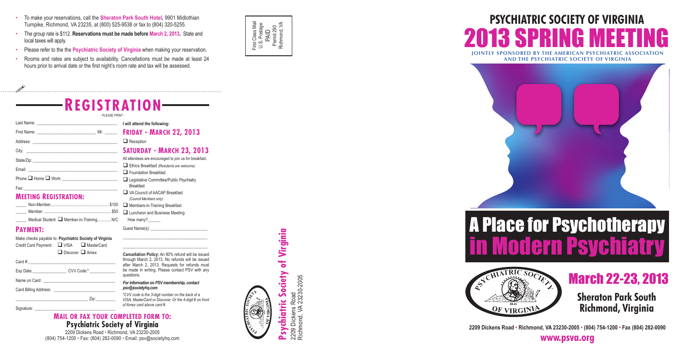### A Place for Psychotherapy n movem repondinging<br>in Modern Peuchiatry A Place for Psychotherapy A Place for Psychotherapy in Modern Psychiatry in Modern Psychiatry

### 2013 SPRING MEETING **PSYCHIATRIC SOCIETY OF VIRGINIA AND THE AMERICAN PSYCHIATRIC ASSOCIATION**<br>AND THE PSYCHIATRIC SOCIETY OF VIRGINIA **PSYCHIATRIC SOCIETY 2013 SPRING MEETING MEETING PSYCHIATRIC SOCIETY OF VIRGINIA**



**Sheraton Park South Richmond, Virginia Sheraton Park South Sheraton Park South Richmond, Virginia Richmond, Virginia**

March 22-23, 2013 March 22-23, 2013 March 22-23, 2013

**www.psva.org www.psva.org**

- **•** To make your reservations, call the Sheraton Park South Hotel, 9901 Midlothian Turnpike, Richmond, VA 23235, at (800) 525-9538 or fax to (804) 320-5255.
- The group rate is \$112. Reservations must be made before March 2, 2013. State and local taxes will apply.
- Please refer to the the Psychiatric Society of Virginia when making your reservation.
- Rooms and rates are subject to availability. Cancellations must be made at least 24 hours prior to arrival date or the first night's room rate and tax will be assessed.





# **Society of Virginia Psychiatric Society of Virginia**  $\ddot{\phantom{0}}$ Psychiatri

Dickens Road<br>nond, VA 23230-2005 Richmond, VA 23230-2005 2209 Dickens Road 2209 Dicke<br>Richmond,





2209 Dickens Road • Richmond, VA 23230-2005 • (804) 754-1200 • Fax (804) 282-0090<br>معرض المعرض المعلم المعلم المعلم المعلم المعلم المعلم المعلم المعلم المعلم المعلم المعلم المعلم المعلم المعلم

### **Mail or fax your completed for m to : Psychiatric Society of Virginia**

2209 Dickens Road • Richmond, VA 23230-2005 (804) 754-1200 • Fax: (804) 282-0090 • Email: psv@societyhq.com

| - REGISTRATION-                                                                                                                                                                                                                |                                                                                                                                                                                                                                |
|--------------------------------------------------------------------------------------------------------------------------------------------------------------------------------------------------------------------------------|--------------------------------------------------------------------------------------------------------------------------------------------------------------------------------------------------------------------------------|
| - PLEASE PRINT -                                                                                                                                                                                                               |                                                                                                                                                                                                                                |
|                                                                                                                                                                                                                                |                                                                                                                                                                                                                                |
|                                                                                                                                                                                                                                |                                                                                                                                                                                                                                |
|                                                                                                                                                                                                                                | $\Box$ Reception                                                                                                                                                                                                               |
| City: City: City: City: City: City: City: City: City: City: City: City: City: City: City: City: City: City: City: City: City: City: City: City: City: City: City: City: City: City: City: City: City: City: City: City: City:  | <b>SATURDAY - MARCH 23, 2013</b>                                                                                                                                                                                               |
|                                                                                                                                                                                                                                | All attendees are encouraged to join us for breakfast.                                                                                                                                                                         |
|                                                                                                                                                                                                                                | $\Box$ Ethics Breakfast (Residents are welcome)                                                                                                                                                                                |
|                                                                                                                                                                                                                                | $\Box$ Foundation Breakfast                                                                                                                                                                                                    |
| Fax: The contract of the contract of the contract of the contract of the contract of the contract of the contract of the contract of the contract of the contract of the contract of the contract of the contract of the contr | Legislative Committee/Public Psychiatry<br><b>Breakfast</b>                                                                                                                                                                    |
| <b>MEETING REGISTRATION:</b>                                                                                                                                                                                                   | VA Council of AACAP Breakfast<br>(Council Members only)                                                                                                                                                                        |
|                                                                                                                                                                                                                                | Members-in-Training Breakfast                                                                                                                                                                                                  |
|                                                                                                                                                                                                                                | <b>Q</b> Luncheon and Business Meeting                                                                                                                                                                                         |
| Medical Student ■ Member-in-TrainingN/C                                                                                                                                                                                        | How many?                                                                                                                                                                                                                      |
| <b>PAYMENT:</b>                                                                                                                                                                                                                | Guest Name(s): Name (s) and the set of the set of the set of the set of the set of the set of the set of the set of the set of the set of the set of the set of the set of the set of the set of the set of the set of the set |
| Make checks payable to: Psychiatric Society of Virginia<br>$\Box$ VISA $\Box$ MasterCard<br>Credit Card Payment:                                                                                                               |                                                                                                                                                                                                                                |
| $\Box$ Discover $\Box$ Amex                                                                                                                                                                                                    | Cancellation Policy: An 80% refund will be issued                                                                                                                                                                              |
| Card #:                                                                                                                                                                                                                        | through March 2, 2013. No refunds will be issued<br>after March 2, 2013. Requests for refunds must                                                                                                                             |
|                                                                                                                                                                                                                                | be made in writing. Please contact PSV with any<br>questions.                                                                                                                                                                  |
|                                                                                                                                                                                                                                | For information on PSV membership, contact                                                                                                                                                                                     |
|                                                                                                                                                                                                                                | psv@societyhq.com<br>*CVV code is the 3-digit number on the back of a                                                                                                                                                          |